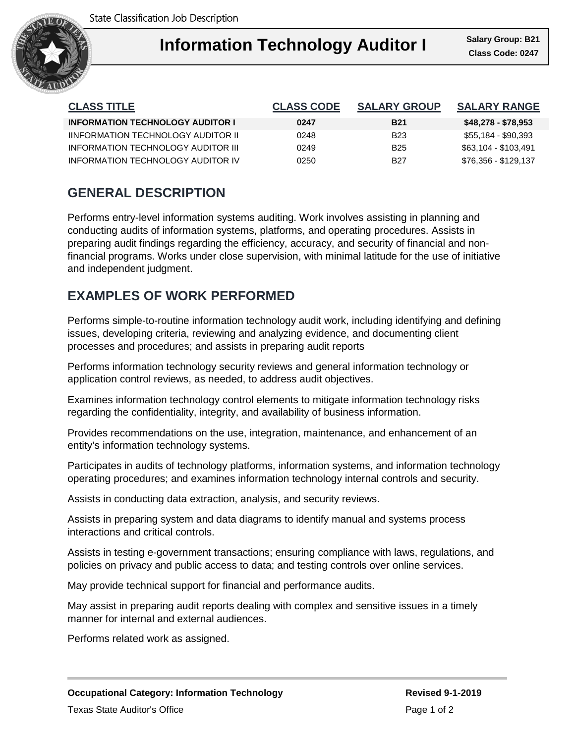

| <b>CLASS TITLE</b>                      | <b>CLASS CODE</b> | <b>SALARY GROUP</b> | <b>SALARY RANGE</b>  |
|-----------------------------------------|-------------------|---------------------|----------------------|
| <b>INFORMATION TECHNOLOGY AUDITOR I</b> | 0247              | <b>B21</b>          | \$48,278 - \$78,953  |
| IINFORMATION TECHNOLOGY AUDITOR II      | 0248              | B23                 | \$55,184 - \$90,393  |
| INFORMATION TECHNOLOGY AUDITOR III      | 0249              | <b>B25</b>          | \$63,104 - \$103,491 |
| INFORMATION TECHNOLOGY AUDITOR IV       | 0250              | B27                 | \$76,356 - \$129,137 |

## **GENERAL DESCRIPTION**

Performs entry-level information systems auditing. Work involves assisting in planning and conducting audits of information systems, platforms, and operating procedures. Assists in preparing audit findings regarding the efficiency, accuracy, and security of financial and nonfinancial programs. Works under close supervision, with minimal latitude for the use of initiative and independent judgment.

### **EXAMPLES OF WORK PERFORMED**

Performs simple-to-routine information technology audit work, including identifying and defining issues, developing criteria, reviewing and analyzing evidence, and documenting client processes and procedures; and assists in preparing audit reports

Performs information technology security reviews and general information technology or application control reviews, as needed, to address audit objectives.

Examines information technology control elements to mitigate information technology risks regarding the confidentiality, integrity, and availability of business information.

Provides recommendations on the use, integration, maintenance, and enhancement of an entity's information technology systems.

Participates in audits of technology platforms, information systems, and information technology operating procedures; and examines information technology internal controls and security.

Assists in conducting data extraction, analysis, and security reviews.

Assists in preparing system and data diagrams to identify manual and systems process interactions and critical controls.

Assists in testing e-government transactions; ensuring compliance with laws, regulations, and policies on privacy and public access to data; and testing controls over online services.

May provide technical support for financial and performance audits.

May assist in preparing audit reports dealing with complex and sensitive issues in a timely manner for internal and external audiences.

Performs related work as assigned.